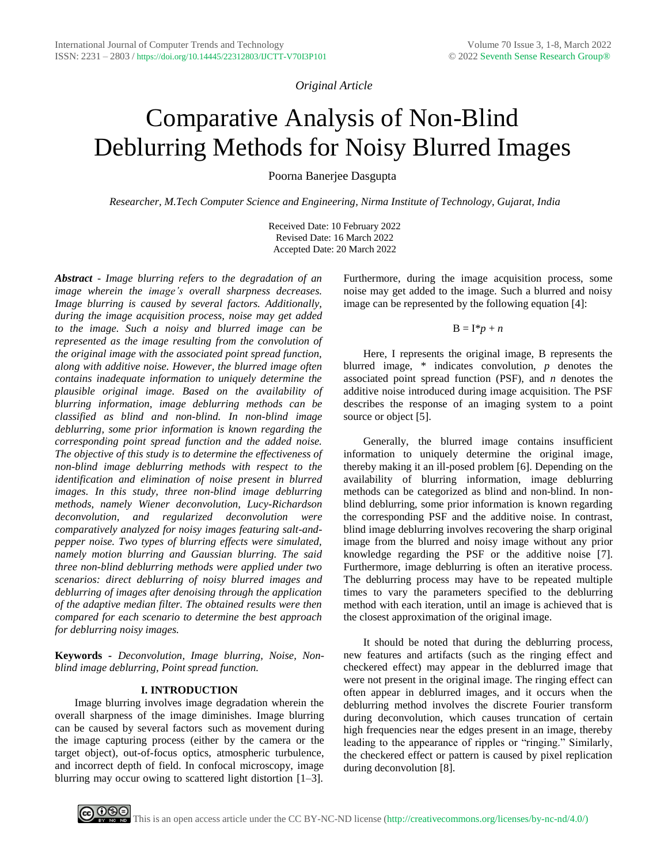*Original Article*

# Comparative Analysis of Non-Blind Deblurring Methods for Noisy Blurred Images

Poorna Banerjee Dasgupta

*Researcher, M.Tech Computer Science and Engineering, Nirma Institute of Technology, Gujarat, India*

Received Date: 10 February 2022 Revised Date: 16 March 2022 Accepted Date: 20 March 2022

*Abstract* - *Image blurring refers to the degradation of an image wherein the image's overall sharpness decreases. Image blurring is caused by several factors. Additionally, during the image acquisition process, noise may get added to the image. Such a noisy and blurred image can be represented as the image resulting from the convolution of the original image with the associated point spread function, along with additive noise. However, the blurred image often contains inadequate information to uniquely determine the plausible original image. Based on the availability of blurring information, image deblurring methods can be classified as blind and non-blind. In non-blind image deblurring, some prior information is known regarding the corresponding point spread function and the added noise. The objective of this study is to determine the effectiveness of non-blind image deblurring methods with respect to the identification and elimination of noise present in blurred images. In this study, three non-blind image deblurring methods, namely Wiener deconvolution, Lucy-Richardson deconvolution, and regularized deconvolution were comparatively analyzed for noisy images featuring salt-andpepper noise. Two types of blurring effects were simulated, namely motion blurring and Gaussian blurring. The said three non-blind deblurring methods were applied under two scenarios: direct deblurring of noisy blurred images and deblurring of images after denoising through the application of the adaptive median filter. The obtained results were then compared for each scenario to determine the best approach for deblurring noisy images.*

**Keywords** *- Deconvolution, Image blurring, Noise, Nonblind image deblurring, Point spread function.*

## **I. INTRODUCTION**

Image blurring involves image degradation wherein the overall sharpness of the image diminishes. Image blurring can be caused by several factors such as movement during the image capturing process (either by the camera or the target object), out-of-focus optics, atmospheric turbulence, and incorrect depth of field. In confocal microscopy, image blurring may occur owing to scattered light distortion [1–3].

Furthermore, during the image acquisition process, some noise may get added to the image. Such a blurred and noisy image can be represented by the following equation [4]:

#### $B = I^*p + n$

Here, I represents the original image, B represents the blurred image, \* indicates convolution, *p* denotes the associated point spread function (PSF), and *n* denotes the additive noise introduced during image acquisition. The PSF describes the response of an imaging system to a point source or object [5].

Generally, the blurred image contains insufficient information to uniquely determine the original image, thereby making it an ill-posed problem [6]. Depending on the availability of blurring information, image deblurring methods can be categorized as blind and non-blind. In nonblind deblurring, some prior information is known regarding the corresponding PSF and the additive noise. In contrast, blind image deblurring involves recovering the sharp original image from the blurred and noisy image without any prior knowledge regarding the PSF or the additive noise [7]. Furthermore, image deblurring is often an iterative process. The deblurring process may have to be repeated multiple times to vary the parameters specified to the deblurring method with each iteration, until an image is achieved that is the closest approximation of the original image.

It should be noted that during the deblurring process, new features and artifacts (such as the ringing effect and checkered effect) may appear in the deblurred image that were not present in the original image. The ringing effect can often appear in deblurred images, and it occurs when the deblurring method involves the discrete Fourier transform during deconvolution, which causes truncation of certain high frequencies near the edges present in an image, thereby leading to the appearance of ripples or "ringing." Similarly, the checkered effect or pattern is caused by pixel replication during deconvolution [8].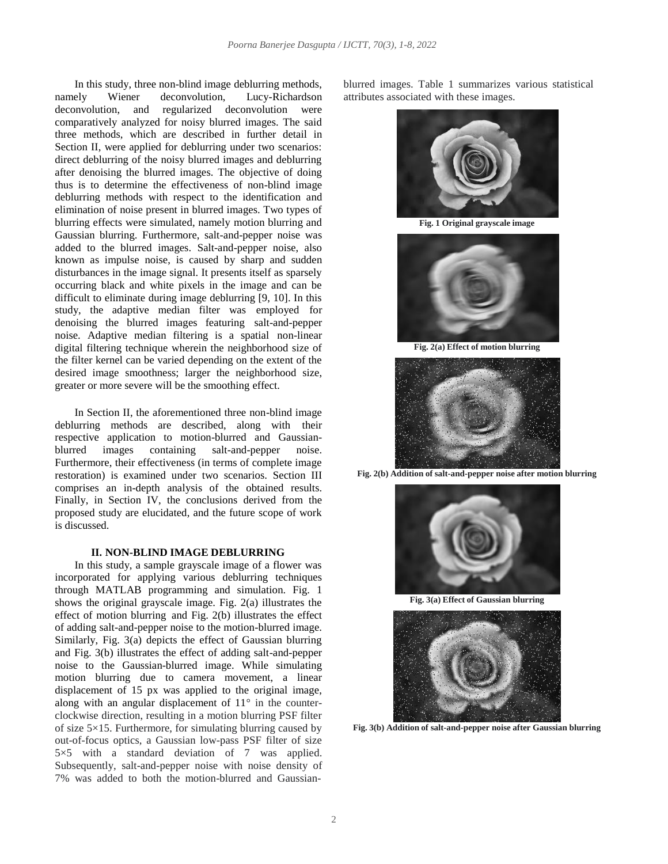In this study, three non-blind image deblurring methods, namely Wiener deconvolution, Lucy-Richardson deconvolution, and regularized deconvolution were comparatively analyzed for noisy blurred images. The said three methods, which are described in further detail in Section II, were applied for deblurring under two scenarios: direct deblurring of the noisy blurred images and deblurring after denoising the blurred images. The objective of doing thus is to determine the effectiveness of non-blind image deblurring methods with respect to the identification and elimination of noise present in blurred images. Two types of blurring effects were simulated, namely motion blurring and Gaussian blurring. Furthermore, salt-and-pepper noise was added to the blurred images. Salt-and-pepper noise, also known as impulse noise, is caused by sharp and sudden disturbances in the image signal. It presents itself as sparsely occurring black and white pixels in the image and can be difficult to eliminate during image deblurring [9, 10]. In this study, the adaptive median filter was employed for denoising the blurred images featuring salt-and-pepper noise. Adaptive median filtering is a spatial non-linear digital filtering technique wherein the neighborhood size of the filter kernel can be varied depending on the extent of the desired image smoothness; larger the neighborhood size, greater or more severe will be the smoothing effect.

In Section II, the aforementioned three non-blind image deblurring methods are described, along with their respective application to motion-blurred and Gaussianblurred images containing salt-and-pepper noise. Furthermore, their effectiveness (in terms of complete image restoration) is examined under two scenarios. Section III comprises an in-depth analysis of the obtained results. Finally, in Section IV, the conclusions derived from the proposed study are elucidated, and the future scope of work is discussed.

## **II. NON-BLIND IMAGE DEBLURRING**

In this study, a sample grayscale image of a flower was incorporated for applying various deblurring techniques through MATLAB programming and simulation. Fig. 1 shows the original grayscale image. Fig. 2(a) illustrates the effect of motion blurring and Fig. 2(b) illustrates the effect of adding salt-and-pepper noise to the motion-blurred image. Similarly, Fig. 3(a) depicts the effect of Gaussian blurring and Fig. 3(b) illustrates the effect of adding salt-and-pepper noise to the Gaussian-blurred image. While simulating motion blurring due to camera movement, a linear displacement of 15 px was applied to the original image, along with an angular displacement of  $11^{\circ}$  in the counterclockwise direction, resulting in a motion blurring PSF filter of size  $5\times15$ . Furthermore, for simulating blurring caused by out-of-focus optics, a Gaussian low-pass PSF filter of size 5×5 with a standard deviation of 7 was applied. Subsequently, salt-and-pepper noise with noise density of 7% was added to both the motion-blurred and Gaussianblurred images. Table 1 summarizes various statistical attributes associated with these images.



**Fig. 1 Original grayscale image**



**Fig. 2(a) Effect of motion blurring**



**Fig. 2(b) Addition of salt-and-pepper noise after motion blurring**



**Fig. 3(a) Effect of Gaussian blurring**



**Fig. 3(b) Addition of salt-and-pepper noise after Gaussian blurring**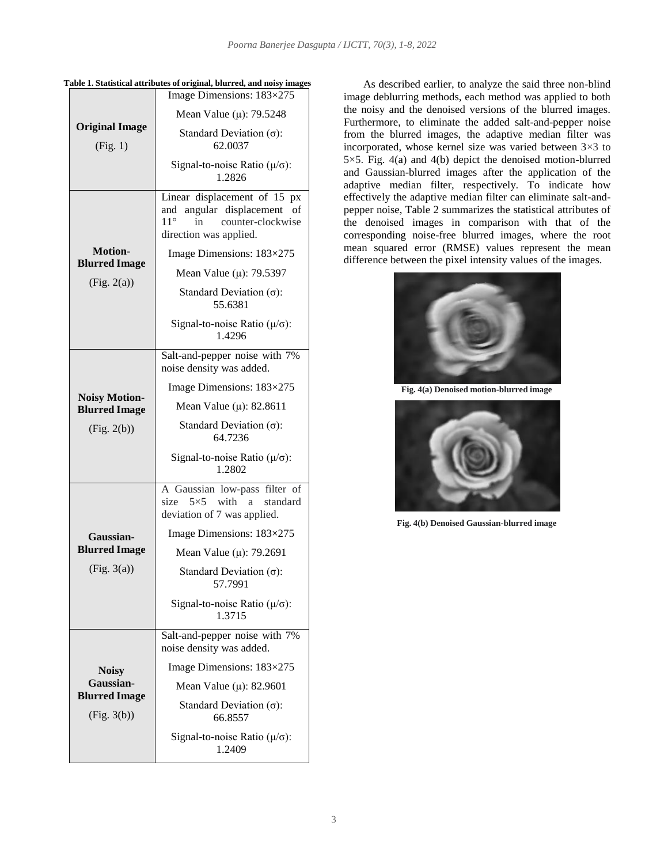|                                                             | able 1. Statistical attributes of original, blurred, and holsy images<br>Image Dimensions: 183×275                                     |  |
|-------------------------------------------------------------|----------------------------------------------------------------------------------------------------------------------------------------|--|
| <b>Original Image</b><br>(Fig. 1)                           | Mean Value ( $\mu$ ): 79.5248                                                                                                          |  |
|                                                             | Standard Deviation $(\sigma)$ :<br>62.0037                                                                                             |  |
|                                                             | Signal-to-noise Ratio ( $\mu/\sigma$ ):<br>1.2826                                                                                      |  |
|                                                             | Linear displacement of 15 px<br>angular displacement<br>and<br>оf<br>$11^{\circ}$<br>counter-clockwise<br>in<br>direction was applied. |  |
| <b>Motion-</b>                                              | Image Dimensions: 183×275                                                                                                              |  |
| <b>Blurred Image</b>                                        | Mean Value ( $\mu$ ): 79.5397                                                                                                          |  |
| (Fig. 2(a))                                                 | Standard Deviation $(\sigma)$ :<br>55.6381                                                                                             |  |
|                                                             | Signal-to-noise Ratio $(\mu/\sigma)$ :<br>1.4296                                                                                       |  |
| <b>Noisy Motion-</b><br><b>Blurred Image</b><br>(Fig. 2(b)) | Salt-and-pepper noise with 7%<br>noise density was added.                                                                              |  |
|                                                             | Image Dimensions: $183\times275$                                                                                                       |  |
|                                                             | Mean Value ( $\mu$ ): 82.8611                                                                                                          |  |
|                                                             | Standard Deviation $(\sigma)$ :<br>64.7236                                                                                             |  |
|                                                             | Signal-to-noise Ratio $(\mu/\sigma)$ :<br>1.2802                                                                                       |  |
|                                                             | A Gaussian low-pass filter of<br>$5\times 5$ with a<br>standard<br>size<br>deviation of 7 was applied.                                 |  |
| Gaussian-                                                   | Image Dimensions: $183\times275$                                                                                                       |  |
| <b>Blurred Image</b>                                        | Mean Value ( $\mu$ ): 79.2691                                                                                                          |  |
| (Fig. 3(a))                                                 | Standard Deviation $(\sigma)$ :<br>57.7991                                                                                             |  |
|                                                             | Signal-to-noise Ratio ( $\mu/\sigma$ ):<br>1.3715                                                                                      |  |
| <b>Noisy</b>                                                | Salt-and-pepper noise with 7%<br>noise density was added.                                                                              |  |
|                                                             | Image Dimensions: 183×275                                                                                                              |  |
| Gaussian-                                                   | Mean Value ( $\mu$ ): 82.9601                                                                                                          |  |
| <b>Blurred Image</b><br>(Fig. 3(b))                         | Standard Deviation $(\sigma)$ :<br>66.8557                                                                                             |  |
|                                                             | Signal-to-noise Ratio $(\mu/\sigma)$ :                                                                                                 |  |

**Table 1. Statistical attributes of original, blurred, and noisy images** As described earlier, to analyze the said three non-blind

image deblurring methods, each method was applied to both the noisy and the denoised versions of the blurred images. Furthermore, to eliminate the added salt-and-pepper noise from the blurred images, the adaptive median filter was incorporated, whose kernel size was varied between 3×3 to 5×5. Fig. 4(a) and 4(b) depict the denoised motion-blurred and Gaussian-blurred images after the application of the adaptive median filter, respectively. To indicate how effectively the adaptive median filter can eliminate salt-andpepper noise, Table 2 summarizes the statistical attributes of the denoised images in comparison with that of the corresponding noise-free blurred images, where the root mean squared error (RMSE) values represent the mean difference between the pixel intensity values of the images.



**Fig. 4(a) Denoised motion-blurred image**



**Fig. 4(b) Denoised Gaussian-blurred image**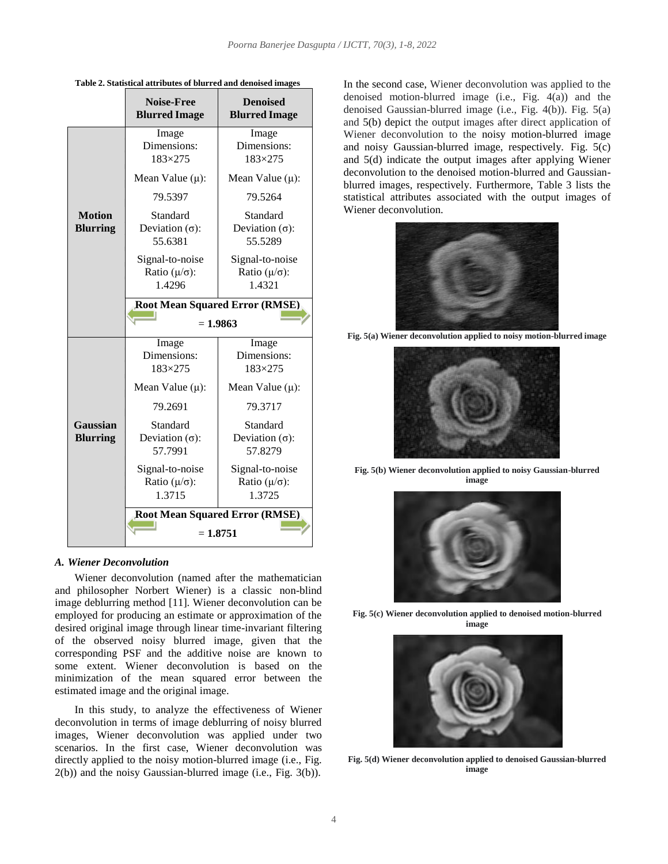|                                  | <b>Noise-Free</b><br><b>Blurred Image</b>           | <b>Denoised</b><br><b>Blurred Image</b>             |  |
|----------------------------------|-----------------------------------------------------|-----------------------------------------------------|--|
|                                  | Image<br>Dimensions:<br>$183 \times 275$            | Image<br>Dimensions:<br>$183 \times 275$            |  |
|                                  | Mean Value $(\mu)$ :                                | Mean Value $(\mu)$ :                                |  |
|                                  | 79.5397                                             | 79.5264                                             |  |
| <b>Motion</b><br><b>Blurring</b> | Standard<br>Deviation $(\sigma)$ :<br>55.6381       | Standard<br>Deviation $(\sigma)$ :<br>55.5289       |  |
|                                  | Signal-to-noise<br>Ratio $(\mu/\sigma)$ :<br>1.4296 | Signal-to-noise<br>Ratio $(\mu/\sigma)$ :<br>1.4321 |  |
|                                  | <b>Root Mean Squared Error (RMSE)</b><br>$= 1.9863$ |                                                     |  |
|                                  | Image<br>Dimensions:<br>183×275                     | Image<br>Dimensions:<br>183×275                     |  |
|                                  | Mean Value $(\mu)$ :                                | Mean Value $(\mu)$ :                                |  |
|                                  | 79.2691                                             | 79.3717                                             |  |
| Gaussian<br><b>Blurring</b>      | Standard<br>Deviation $(\sigma)$ :<br>57.7991       | Standard<br>Deviation $(\sigma)$ :<br>57.8279       |  |
|                                  | Signal-to-noise<br>Ratio $(\mu/\sigma)$ :<br>1.3715 | Signal-to-noise<br>Ratio $(\mu/\sigma)$ :<br>1.3725 |  |
|                                  | <b>Root Mean Squared Error (RMSE)</b><br>$= 1.8751$ |                                                     |  |

**Table 2. Statistical attributes of blurred and denoised images**

#### *A. Wiener Deconvolution*

Wiener deconvolution (named after the mathematician and philosopher Norbert Wiener) is a classic non-blind image deblurring method [11]. Wiener deconvolution can be employed for producing an estimate or approximation of the desired original image through linear time-invariant filtering of the observed noisy blurred image, given that the corresponding PSF and the additive noise are known to some extent. Wiener deconvolution is based on the minimization of the mean squared error between the estimated image and the original image.

In this study, to analyze the effectiveness of Wiener deconvolution in terms of image deblurring of noisy blurred images, Wiener deconvolution was applied under two scenarios. In the first case, Wiener deconvolution was directly applied to the noisy motion-blurred image (i.e., Fig. 2(b)) and the noisy Gaussian-blurred image (i.e., Fig. 3(b)).

In the second case, Wiener deconvolution was applied to the denoised motion-blurred image (i.e., Fig. 4(a)) and the denoised Gaussian-blurred image (i.e., Fig. 4(b)). Fig. 5(a) and 5(b) depict the output images after direct application of Wiener deconvolution to the noisy motion-blurred image and noisy Gaussian-blurred image, respectively. Fig. 5(c) and 5(d) indicate the output images after applying Wiener deconvolution to the denoised motion-blurred and Gaussianblurred images, respectively. Furthermore, Table 3 lists the statistical attributes associated with the output images of Wiener deconvolution.



**Fig. 5(a) Wiener deconvolution applied to noisy motion-blurred image**



**Fig. 5(b) Wiener deconvolution applied to noisy Gaussian-blurred image**



**Fig. 5(c) Wiener deconvolution applied to denoised motion-blurred image**



**Fig. 5(d) Wiener deconvolution applied to denoised Gaussian-blurred image**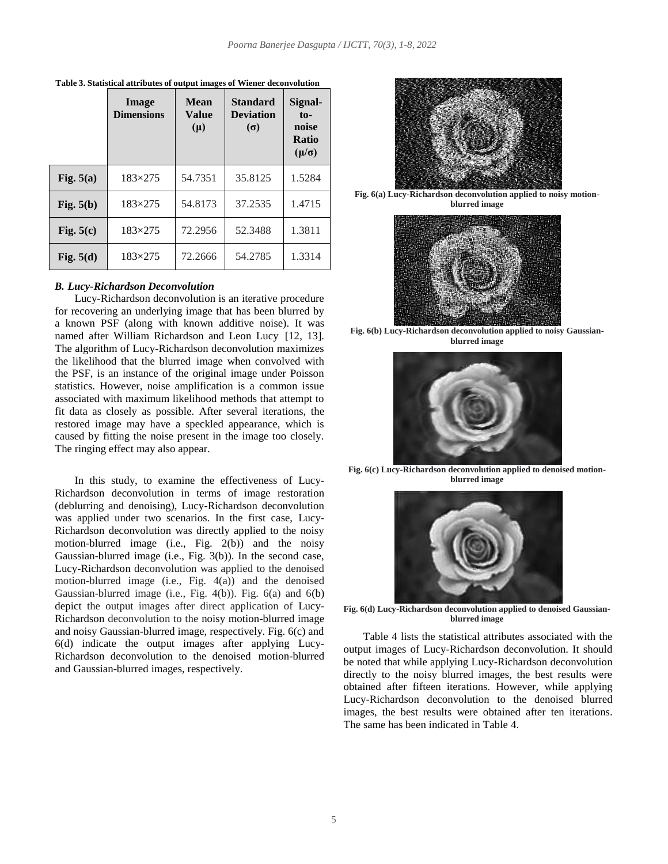|             | Image<br><b>Dimensions</b> | <b>Mean</b><br>Value<br>$(\mu)$ | <b>Standard</b><br><b>Deviation</b><br>$(\sigma)$ | Signal-<br>$to-$<br>noise<br>Ratio<br>$(\mu/\sigma)$ |
|-------------|----------------------------|---------------------------------|---------------------------------------------------|------------------------------------------------------|
| Fig. $5(a)$ | $183\times275$             | 54.7351                         | 35.8125                                           | 1.5284                                               |
| Fig. $5(b)$ | $183\times275$             | 54.8173                         | 37.2535                                           | 1.4715                                               |
| Fig. $5(c)$ | $183\times275$             | 72.2956                         | 52.3488                                           | 1.3811                                               |
| Fig. $5(d)$ | $183\times275$             | 72.2666                         | 54.2785                                           | 1.3314                                               |

**Table 3. Statistical attributes of output images of Wiener deconvolution**

### *B. Lucy-Richardson Deconvolution*

Lucy-Richardson deconvolution is an iterative procedure for recovering an underlying image that has been blurred by a known PSF (along with known additive noise). It was named after William Richardson and Leon Lucy [12, 13]. The algorithm of Lucy-Richardson deconvolution maximizes the likelihood that the blurred image when convolved with the PSF, is an instance of the original image under Poisson statistics. However, noise amplification is a common issue associated with maximum likelihood methods that attempt to fit data as closely as possible. After several iterations, the restored image may have a speckled appearance, which is caused by fitting the noise present in the image too closely. The ringing effect may also appear.

In this study, to examine the effectiveness of Lucy-Richardson deconvolution in terms of image restoration (deblurring and denoising), Lucy-Richardson deconvolution was applied under two scenarios. In the first case, Lucy-Richardson deconvolution was directly applied to the noisy motion-blurred image (i.e., Fig. 2(b)) and the noisy Gaussian-blurred image (i.e., Fig. 3(b)). In the second case, Lucy-Richardson deconvolution was applied to the denoised motion-blurred image (i.e., Fig. 4(a)) and the denoised Gaussian-blurred image (i.e., Fig. 4(b)). Fig. 6(a) and 6(b) depict the output images after direct application of Lucy-Richardson deconvolution to the noisy motion-blurred image and noisy Gaussian-blurred image, respectively. Fig. 6(c) and 6(d) indicate the output images after applying Lucy-Richardson deconvolution to the denoised motion-blurred and Gaussian-blurred images, respectively.



**Fig. 6(a) Lucy-Richardson deconvolution applied to noisy motionblurred image**



**Fig. 6(b) Lucy-Richardson deconvolution applied to noisy Gaussianblurred image**



**Fig. 6(c) Lucy-Richardson deconvolution applied to denoised motionblurred image**



**Fig. 6(d) Lucy-Richardson deconvolution applied to denoised Gaussianblurred image**

Table 4 lists the statistical attributes associated with the output images of Lucy-Richardson deconvolution. It should be noted that while applying Lucy-Richardson deconvolution directly to the noisy blurred images, the best results were obtained after fifteen iterations. However, while applying Lucy-Richardson deconvolution to the denoised blurred images, the best results were obtained after ten iterations. The same has been indicated in Table 4.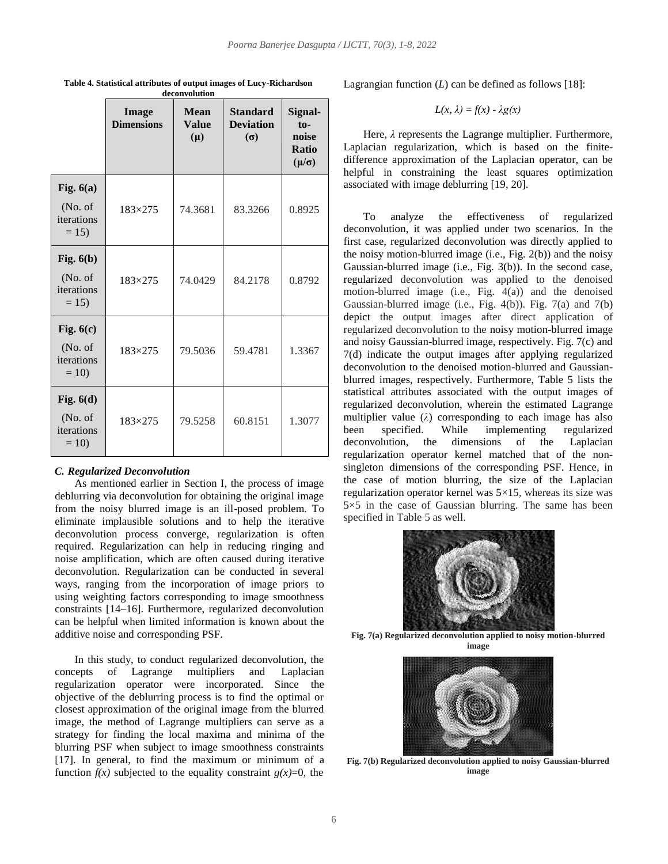|                                                | Image<br><b>Dimensions</b> | <b>Mean</b><br><b>Value</b><br>$(\mu)$ | <b>Standard</b><br><b>Deviation</b><br>$(\sigma)$ | Signal-<br>$to$ -<br>noise<br>Ratio<br>$(\mu/\sigma)$ |
|------------------------------------------------|----------------------------|----------------------------------------|---------------------------------------------------|-------------------------------------------------------|
| Fig. $6(a)$<br>(No. of<br>iterations<br>$= 15$ | 183×275                    | 74.3681                                | 83.3266                                           | 0.8925                                                |
| Fig. $6(b)$<br>(No. of<br>iterations<br>$= 15$ | $183\times275$             | 74.0429                                | 84.2178                                           | 0.8792                                                |
| Fig. $6(c)$<br>(No. of<br>iterations<br>$= 10$ | $183\times275$             | 79.5036                                | 59.4781                                           | 1.3367                                                |
| Fig. $6(d)$<br>(No. of<br>iterations<br>$= 10$ | 183×275                    | 79.5258                                | 60.8151                                           | 1.3077                                                |

**Table 4. Statistical attributes of output images of Lucy-Richardson deconvolution**

#### *C. Regularized Deconvolution*

As mentioned earlier in Section I, the process of image deblurring via deconvolution for obtaining the original image from the noisy blurred image is an ill-posed problem. To eliminate implausible solutions and to help the iterative deconvolution process converge, regularization is often required. Regularization can help in reducing ringing and noise amplification, which are often caused during iterative deconvolution. Regularization can be conducted in several ways, ranging from the incorporation of image priors to using weighting factors corresponding to image smoothness constraints [14–16]. Furthermore, regularized deconvolution can be helpful when limited information is known about the additive noise and corresponding PSF.

In this study, to conduct regularized deconvolution, the concepts of Lagrange multipliers and Laplacian regularization operator were incorporated. Since the objective of the deblurring process is to find the optimal or closest approximation of the original image from the blurred image, the method of Lagrange multipliers can serve as a strategy for finding the local maxima and minima of the blurring PSF when subject to image smoothness constraints [17]. In general, to find the maximum or minimum of a function  $f(x)$  subjected to the equality constraint  $g(x)=0$ , the

Lagrangian function (*L*) can be defined as follows [18]:

$$
L(x, \lambda) = f(x) - \lambda g(x)
$$

Here, *λ* represents the Lagrange multiplier. Furthermore, Laplacian regularization, which is based on the finitedifference approximation of the Laplacian operator, can be helpful in constraining the least squares optimization associated with image deblurring [19, 20].

To analyze the effectiveness of regularized deconvolution, it was applied under two scenarios. In the first case, regularized deconvolution was directly applied to the noisy motion-blurred image (i.e., Fig.  $2(b)$ ) and the noisy Gaussian-blurred image (i.e., Fig. 3(b)). In the second case, regularized deconvolution was applied to the denoised motion-blurred image (i.e., Fig.  $4(a)$ ) and the denoised Gaussian-blurred image (i.e., Fig. 4(b)). Fig. 7(a) and 7(b) depict the output images after direct application of regularized deconvolution to the noisy motion-blurred image and noisy Gaussian-blurred image, respectively. Fig. 7(c) and 7(d) indicate the output images after applying regularized deconvolution to the denoised motion-blurred and Gaussianblurred images, respectively. Furthermore, Table 5 lists the statistical attributes associated with the output images of regularized deconvolution, wherein the estimated Lagrange multiplier value (*λ*) corresponding to each image has also been specified. While implementing regularized deconvolution, the dimensions of the Laplacian regularization operator kernel matched that of the nonsingleton dimensions of the corresponding PSF. Hence, in the case of motion blurring, the size of the Laplacian regularization operator kernel was  $5\times15$ , whereas its size was 5×5 in the case of Gaussian blurring. The same has been specified in Table 5 as well.



**Fig. 7(a) Regularized deconvolution applied to noisy motion-blurred image**



**Fig. 7(b) Regularized deconvolution applied to noisy Gaussian-blurred image**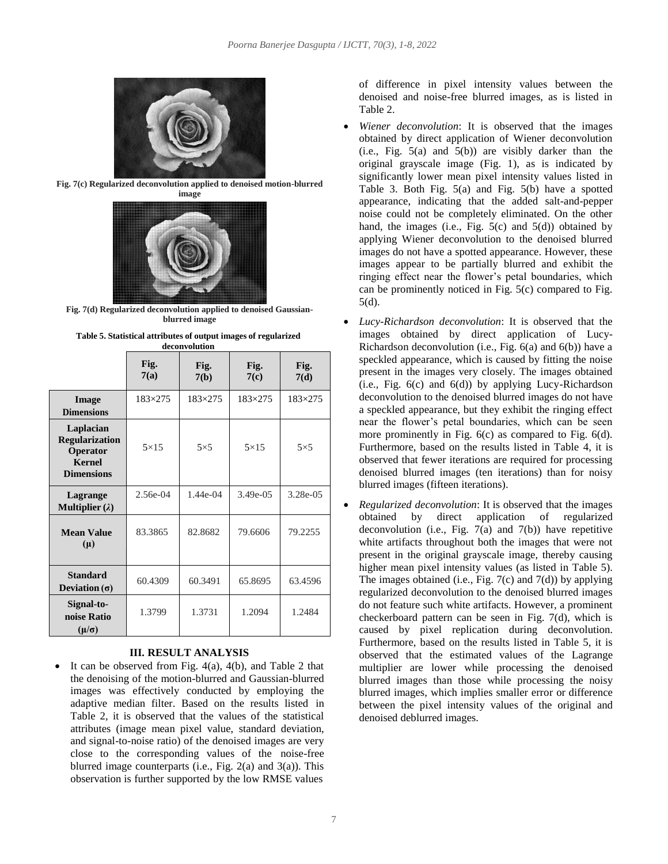

**Fig. 7(c) Regularized deconvolution applied to denoised motion-blurred**



**Fig. 7(d) Regularized deconvolution applied to denoised Gaussianblurred image**

| deconvolution                                                                        |                |              |                |                |
|--------------------------------------------------------------------------------------|----------------|--------------|----------------|----------------|
|                                                                                      | Fig.<br>7(a)   | Fig.<br>7(b) | Fig.<br>7(c)   | Fig.<br>7(d)   |
| Image<br><b>Dimensions</b>                                                           | $183\times275$ | 183×275      | $183\times275$ | $183\times275$ |
| Laplacian<br><b>Regularization</b><br>Operator<br><b>Kernel</b><br><b>Dimensions</b> | $5\times15$    | $5\times5$   | $5\times15$    | $5\times5$     |
| Lagrange<br>Multiplier $(\lambda)$                                                   | $2.56e-04$     | $1.44e-04$   | $3.49e - 0.5$  | 3.28e-05       |
| <b>Mean Value</b><br>$(\mu)$                                                         | 83.3865        | 82.8682      | 79.6606        | 79.2255        |
| <b>Standard</b><br>Deviation $(\sigma)$                                              | 60.4309        | 60.3491      | 65.8695        | 63.4596        |
| Signal-to-<br>noise Ratio<br>$(\mu/\sigma)$                                          | 1.3799         | 1.3731       | 1.2094         | 1.2484         |

| Table 5. Statistical attributes of output images of regularized |  |
|-----------------------------------------------------------------|--|
| deconvolution                                                   |  |

## **III. RESULT ANALYSIS**

 It can be observed from Fig. 4(a), 4(b), and Table 2 that the denoising of the motion-blurred and Gaussian-blurred images was effectively conducted by employing the adaptive median filter. Based on the results listed in Table 2, it is observed that the values of the statistical attributes (image mean pixel value, standard deviation, and signal-to-noise ratio) of the denoised images are very close to the corresponding values of the noise-free blurred image counterparts (i.e., Fig. 2(a) and 3(a)). This observation is further supported by the low RMSE values

of difference in pixel intensity values between the denoised and noise-free blurred images, as is listed in Table 2.

- *Wiener deconvolution*: It is observed that the images obtained by direct application of Wiener deconvolution  $(i.e., Fig. 5(a) and 5(b))$  are visibly darker than the original grayscale image (Fig. 1), as is indicated by significantly lower mean pixel intensity values listed in Table 3. Both Fig. 5(a) and Fig. 5(b) have a spotted appearance, indicating that the added salt-and-pepper noise could not be completely eliminated. On the other hand, the images (i.e., Fig.  $5(c)$  and  $5(d)$ ) obtained by applying Wiener deconvolution to the denoised blurred images do not have a spotted appearance. However, these images appear to be partially blurred and exhibit the ringing effect near the flower's petal boundaries, which can be prominently noticed in Fig. 5(c) compared to Fig. 5(d).
- *Lucy-Richardson deconvolution*: It is observed that the images obtained by direct application of Lucy-Richardson deconvolution (i.e., Fig. 6(a) and 6(b)) have a speckled appearance, which is caused by fitting the noise present in the images very closely. The images obtained (i.e., Fig.  $6(c)$  and  $6(d)$ ) by applying Lucy-Richardson deconvolution to the denoised blurred images do not have a speckled appearance, but they exhibit the ringing effect near the flower's petal boundaries, which can be seen more prominently in Fig. 6(c) as compared to Fig. 6(d). Furthermore, based on the results listed in Table 4, it is observed that fewer iterations are required for processing denoised blurred images (ten iterations) than for noisy blurred images (fifteen iterations).
- *Regularized deconvolution*: It is observed that the images obtained by direct application of regularized deconvolution (i.e., Fig.  $7(a)$  and  $7(b)$ ) have repetitive white artifacts throughout both the images that were not present in the original grayscale image, thereby causing higher mean pixel intensity values (as listed in Table 5). The images obtained (i.e., Fig.  $7(c)$  and  $7(d)$ ) by applying regularized deconvolution to the denoised blurred images do not feature such white artifacts. However, a prominent checkerboard pattern can be seen in Fig. 7(d), which is caused by pixel replication during deconvolution. Furthermore, based on the results listed in Table 5, it is observed that the estimated values of the Lagrange multiplier are lower while processing the denoised blurred images than those while processing the noisy blurred images, which implies smaller error or difference between the pixel intensity values of the original and denoised deblurred images.